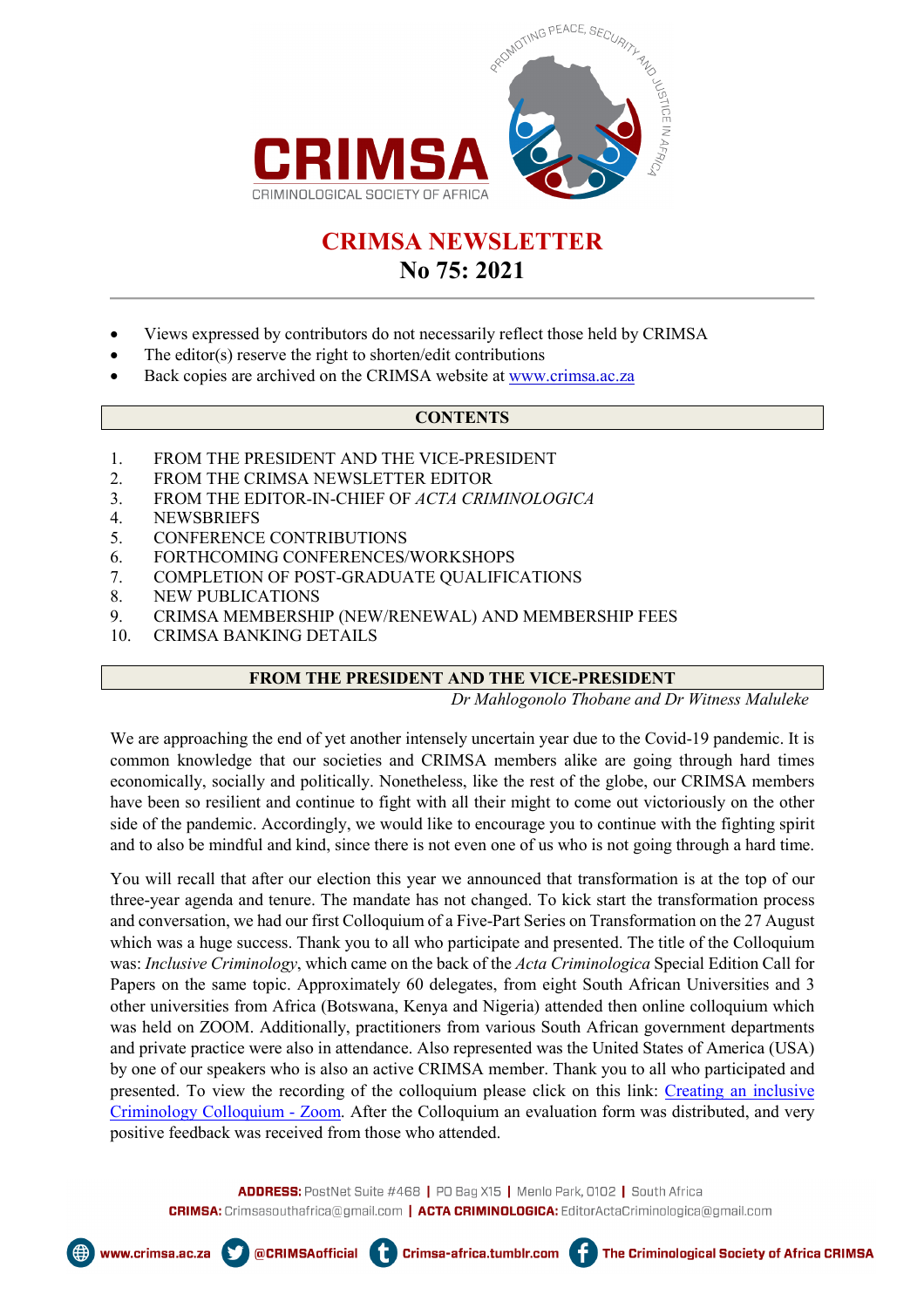

# **CRIMSA NEWSLETTER**

## **No 75: 2021**

- Views expressed by contributors do not necessarily reflect those held by CRIMSA
- The editor(s) reserve the right to shorten/edit contributions
- Back copies are archived on the CRIMSA website a[t www.crimsa.ac.za](about:blank)

## **CONTENTS**

- 1. FROM THE PRESIDENT AND THE VICE-PRESIDENT
- 2. FROM THE CRIMSA NEWSLETTER EDITOR
- 3. FROM THE EDITOR-IN-CHIEF OF *ACTA CRIMINOLOGICA*
- 4. NEWSBRIEFS
- 5. CONFERENCE CONTRIBUTIONS
- 6. FORTHCOMING CONFERENCES/WORKSHOPS

@CRIMSAofficial

ŧ

- 7. COMPLETION OF POST-GRADUATE QUALIFICATIONS
- 8. NEW PUBLICATIONS
- 9. CRIMSA MEMBERSHIP (NEW/RENEWAL) AND MEMBERSHIP FEES
- 10. CRIMSA BANKING DETAILS

## **FROM THE PRESIDENT AND THE VICE-PRESIDENT**

*Dr Mahlogonolo Thobane and Dr Witness Maluleke*

We are approaching the end of yet another intensely uncertain year due to the Covid-19 pandemic. It is common knowledge that our societies and CRIMSA members alike are going through hard times economically, socially and politically. Nonetheless, like the rest of the globe, our CRIMSA members have been so resilient and continue to fight with all their might to come out victoriously on the other side of the pandemic. Accordingly, we would like to encourage you to continue with the fighting spirit and to also be mindful and kind, since there is not even one of us who is not going through a hard time.

You will recall that after our election this year we announced that transformation is at the top of our three-year agenda and tenure. The mandate has not changed. To kick start the transformation process and conversation, we had our first Colloquium of a Five-Part Series on Transformation on the 27 August which was a huge success. Thank you to all who participate and presented. The title of the Colloquium was: *Inclusive Criminology*, which came on the back of the *Acta Criminologica* Special Edition Call for Papers on the same topic. Approximately 60 delegates, from eight South African Universities and 3 other universities from Africa (Botswana, Kenya and Nigeria) attended then online colloquium which was held on ZOOM. Additionally, practitioners from various South African government departments and private practice were also in attendance. Also represented was the United States of America (USA) by one of our speakers who is also an active CRIMSA member. Thank you to all who participated and presented. To view the recording of the colloquium please click on this link: [Creating an inclusive](https://us02web.zoom.us/rec/play/tkQmQo6s1AVxduA3HhhW4i8jVSD5auqYUui3orfsC9Q7fjK4Ah7iOoJ532AJrIxbHRQOyjY9wr6dgJi5.l-dfX0HiatPI9gEb?continueMode=true&_x_zm_rtaid=aRZcygFnT5ORT1WxukBlJw.1638821778991.28b31dcfe9637a5bd185e9ba9fd9f052&_x_zm_rhtaid=873)  [Criminology Colloquium -](https://us02web.zoom.us/rec/play/tkQmQo6s1AVxduA3HhhW4i8jVSD5auqYUui3orfsC9Q7fjK4Ah7iOoJ532AJrIxbHRQOyjY9wr6dgJi5.l-dfX0HiatPI9gEb?continueMode=true&_x_zm_rtaid=aRZcygFnT5ORT1WxukBlJw.1638821778991.28b31dcfe9637a5bd185e9ba9fd9f052&_x_zm_rhtaid=873) Zoom. After the Colloquium an evaluation form was distributed, and very positive feedback was received from those who attended.

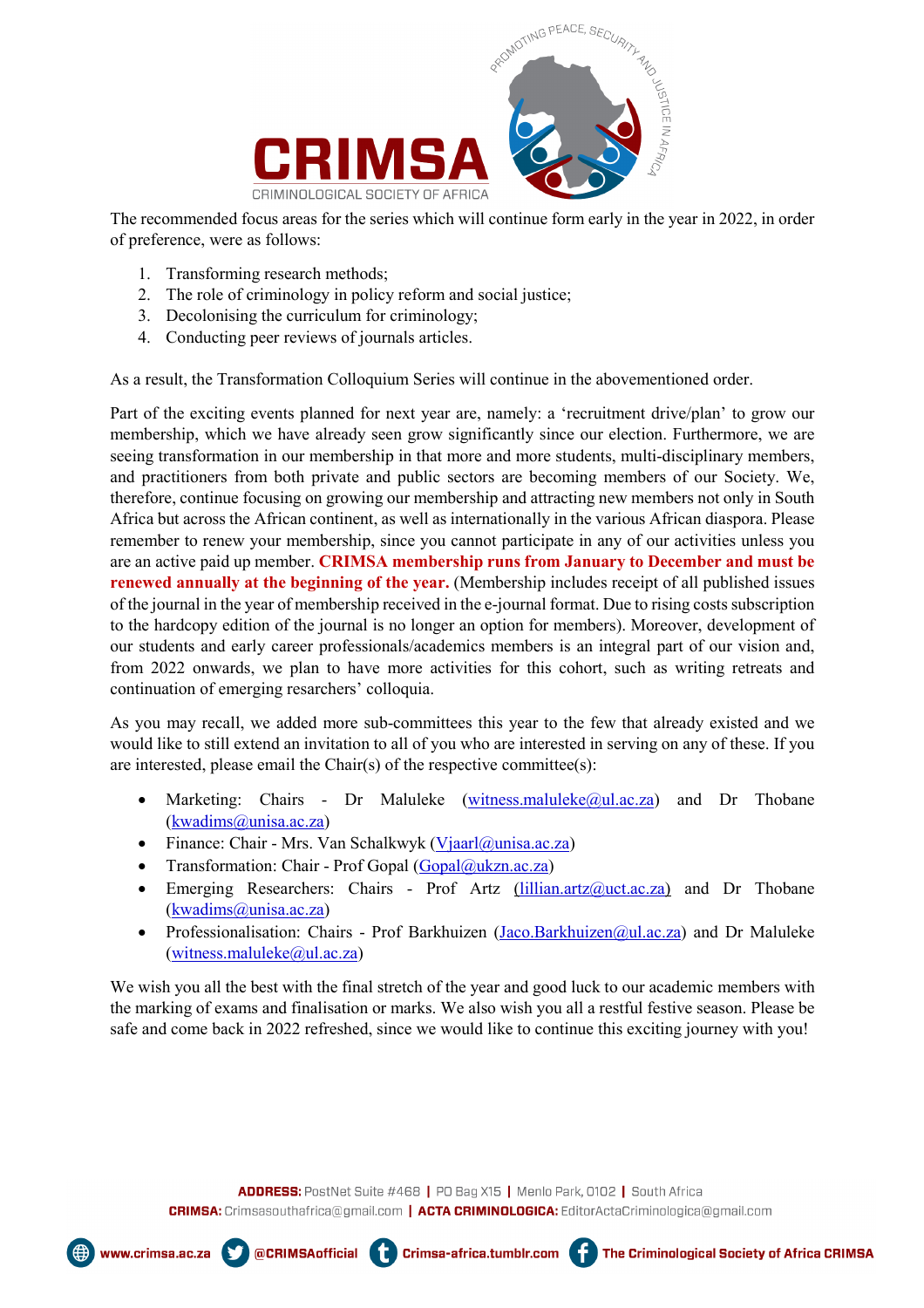

The recommended focus areas for the series which will continue form early in the year in 2022, in order of preference, were as follows:

- 1. Transforming research methods;
- 2. The role of criminology in policy reform and social justice;
- 3. Decolonising the curriculum for criminology;
- 4. Conducting peer reviews of journals articles.

As a result, the Transformation Colloquium Series will continue in the abovementioned order.

Part of the exciting events planned for next year are, namely: a 'recruitment drive/plan' to grow our membership, which we have already seen grow significantly since our election. Furthermore, we are seeing transformation in our membership in that more and more students, multi-disciplinary members, and practitioners from both private and public sectors are becoming members of our Society. We, therefore, continue focusing on growing our membership and attracting new members not only in South Africa but across the African continent, as well as internationally in the various African diaspora. Please remember to renew your membership, since you cannot participate in any of our activities unless you are an active paid up member. **CRIMSA membership runs from January to December and must be renewed annually at the beginning of the year.** (Membership includes receipt of all published issues of the journal in the year of membership received in the e-journal format. Due to rising costs subscription to the hardcopy edition of the journal is no longer an option for members). Moreover, development of our students and early career professionals/academics members is an integral part of our vision and, from 2022 onwards, we plan to have more activities for this cohort, such as writing retreats and continuation of emerging resarchers' colloquia.

As you may recall, we added more sub-committees this year to the few that already existed and we would like to still extend an invitation to all of you who are interested in serving on any of these. If you are interested, please email the Chair(s) of the respective committee(s):

- Marketing: Chairs Dr Maluleke [\(witness.maluleke@ul.ac.za\)](about:blank) and Dr Thobane [\(kwadims@unisa.ac.za\)](about:blank)
- Finance: Chair Mrs. Van Schalkwyk [\(Vjaarl@unisa.ac.za\)](about:blank)
- Transformation: Chair Prof Gopal  $(Gopal@ukzn.ac.za)$

@CRIMSAofficial **4** 

- Emerging Researchers: Chairs Prof Artz [\(lillian.artz@uct.ac.za\)](about:blank) and Dr Thobane [\(kwadims@unisa.ac.za\)](about:blank)
- Professionalisation: Chairs Prof Barkhuizen (Jaco.Barkhuizen @ul.ac.za) and Dr Maluleke [\(witness.maluleke@ul.ac.za\)](about:blank)

We wish you all the best with the final stretch of the year and good luck to our academic members with the marking of exams and finalisation or marks. We also wish you all a restful festive season. Please be safe and come back in 2022 refreshed, since we would like to continue this exciting journey with you!

ADDRESS: PostNet Suite #468 | PO Bag X15 | Menlo Park, 0102 | South Africa CRIMSA: Crimsasouthafrica@gmail.com | ACTA CRIMINOLOGICA: EditorActaCriminologica@gmail.com

Crimsa-africa.tumblr.com



www.crimsa.ac.za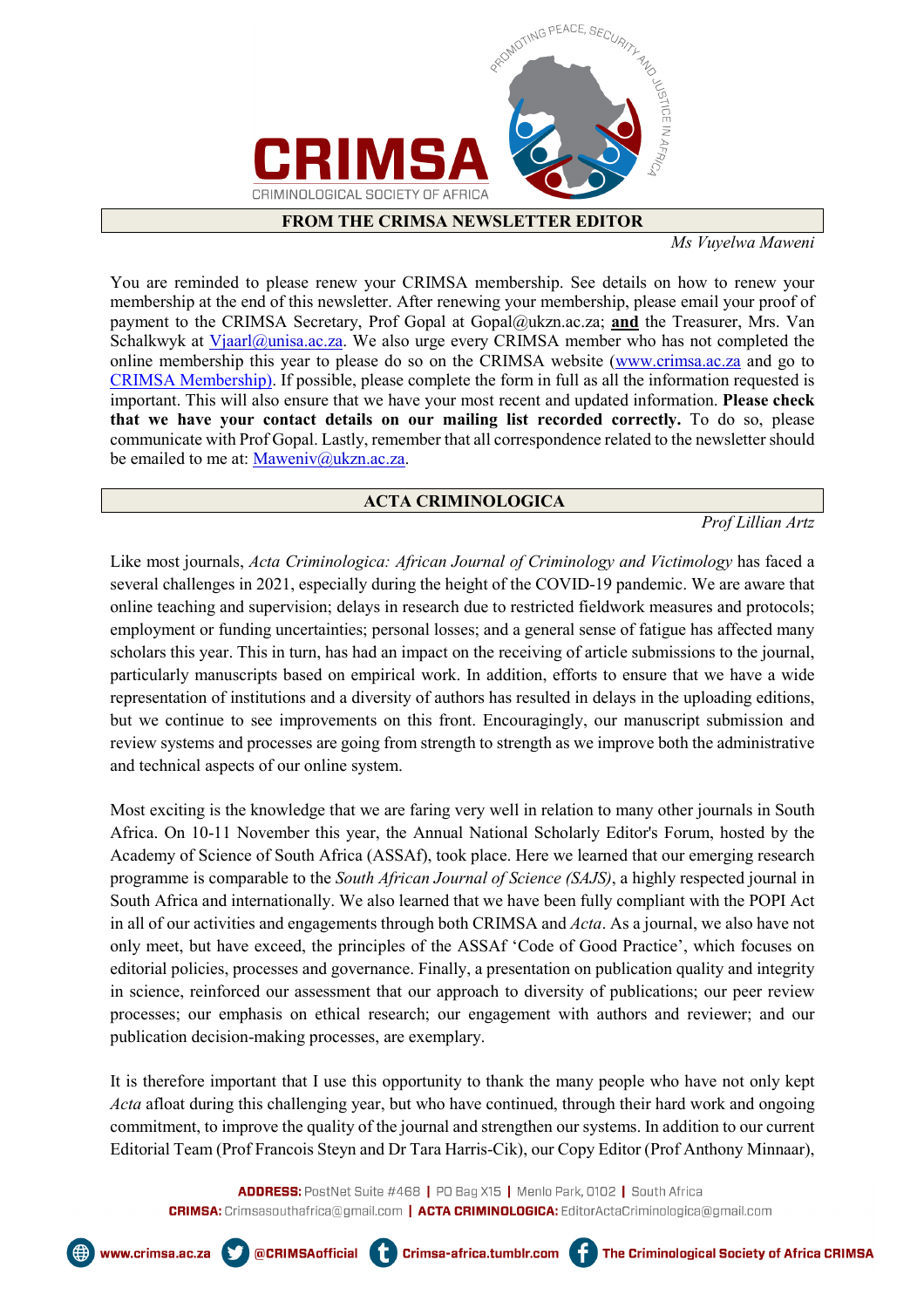

#### **FROM THE CRIMSA NEWSLETTER EDITOR**

*Ms Vuyelwa Maweni*

You are reminded to please renew your CRIMSA membership. See details on how to renew your membership at the end of this newsletter. After renewing your membership, please email your proof of payment to the CRIMSA Secretary, Prof Gopal at Gopal@ukzn.ac.za; **and** the Treasurer, Mrs. Van Schalkwyk at  $Vjaarl@unisa.ac.za$ . We also urge every CRIMSA member who has not completed the</u> online membership this year to please do so on the CRIMSA website [\(www.crimsa.ac.za](http://www.crimsa.ac.za/) and go to [CRIMSA Membership\)](about:blank). If possible, please complete the form in full as all the information requested is important. This will also ensure that we have your most recent and updated information. **Please check that we have your contact details on our mailing list recorded correctly.** To do so, please communicate with Prof Gopal. Lastly, remember that all correspondence related to the newsletter should be emailed to me at: [Maweniv@ukzn.ac.za.](about:blank)

## **ACTA CRIMINOLOGICA**

 *Prof Lillian Artz*

Like most journals, *Acta Criminologica: African Journal of Criminology and Victimology* has faced a several challenges in 2021, especially during the height of the COVID-19 pandemic. We are aware that online teaching and supervision; delays in research due to restricted fieldwork measures and protocols; employment or funding uncertainties; personal losses; and a general sense of fatigue has affected many scholars this year. This in turn, has had an impact on the receiving of article submissions to the journal, particularly manuscripts based on empirical work. In addition, efforts to ensure that we have a wide representation of institutions and a diversity of authors has resulted in delays in the uploading editions, but we continue to see improvements on this front. Encouragingly, our manuscript submission and review systems and processes are going from strength to strength as we improve both the administrative and technical aspects of our online system.

Most exciting is the knowledge that we are faring very well in relation to many other journals in South Africa. On 10-11 November this year, the Annual National Scholarly Editor's Forum, hosted by the Academy of Science of South Africa (ASSAf), took place. Here we learned that our emerging research programme is comparable to the *South African Journal of Science (SAJS)*, a highly respected journal in South Africa and internationally. We also learned that we have been fully compliant with the POPI Act in all of our activities and engagements through both CRIMSA and *Acta*. As a journal, we also have not only meet, but have exceed, the principles of the ASSAf 'Code of Good Practice', which focuses on editorial policies, processes and governance. Finally, a presentation on publication quality and integrity in science, reinforced our assessment that our approach to diversity of publications; our peer review processes; our emphasis on ethical research; our engagement with authors and reviewer; and our publication decision-making processes, are exemplary.

It is therefore important that I use this opportunity to thank the many people who have not only kept *Acta* afloat during this challenging year, but who have continued, through their hard work and ongoing commitment, to improve the quality of the journal and strengthen our systems. In addition to our current Editorial Team (Prof Francois Steyn and Dr Tara Harris-Cik), our Copy Editor (Prof Anthony Minnaar),





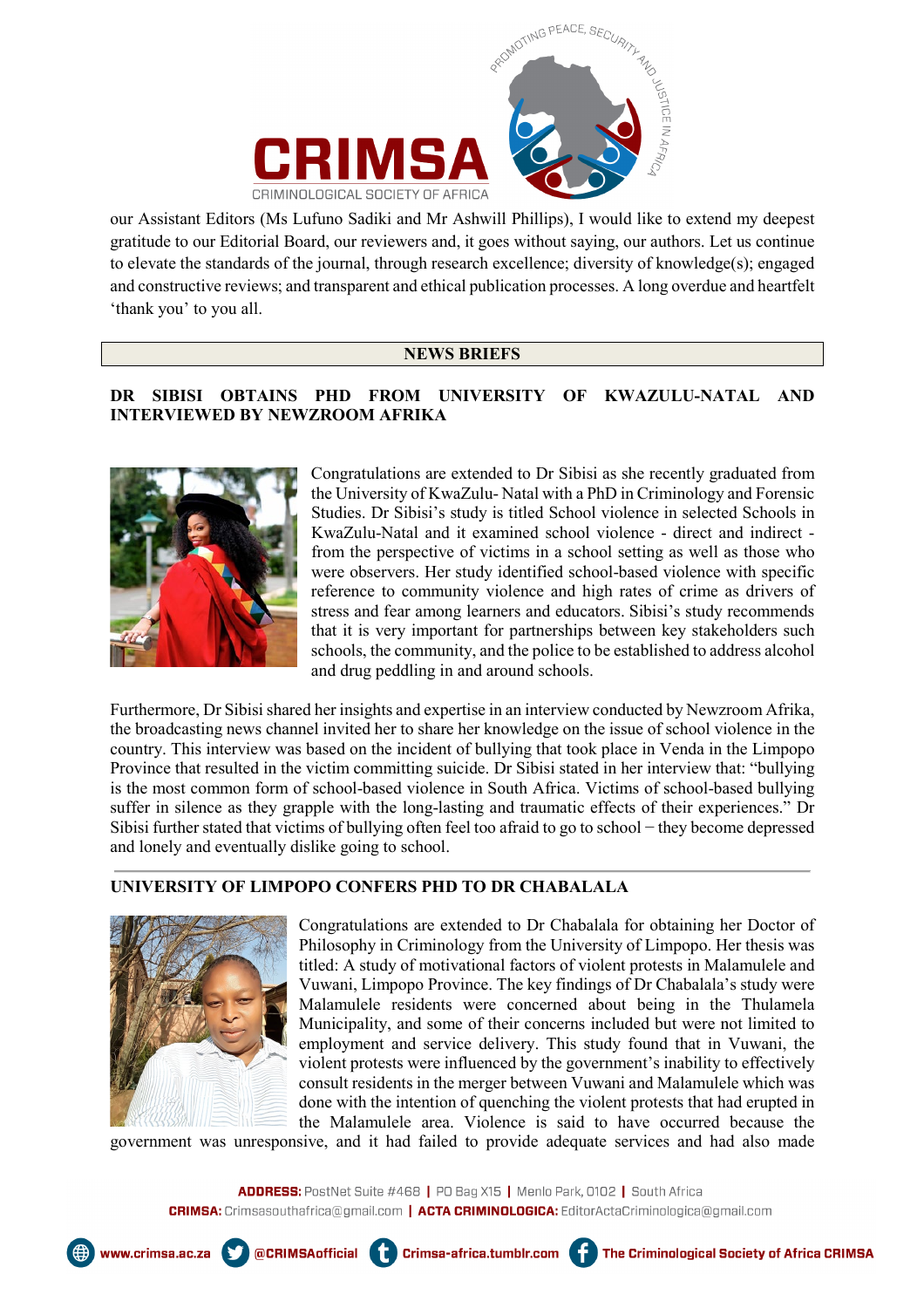



our Assistant Editors (Ms Lufuno Sadiki and Mr Ashwill Phillips), I would like to extend my deepest gratitude to our Editorial Board, our reviewers and, it goes without saying, our authors. Let us continue to elevate the standards of the journal, through research excellence; diversity of knowledge(s); engaged and constructive reviews; and transparent and ethical publication processes. A long overdue and heartfelt 'thank you' to you all.

## **NEWS BRIEFS**

## **DR SIBISI OBTAINS PHD FROM UNIVERSITY OF KWAZULU-NATAL AND INTERVIEWED BY NEWZROOM AFRIKA**



Congratulations are extended to Dr Sibisi as she recently graduated from the University of KwaZulu- Natal with a PhD in Criminology and Forensic Studies. Dr Sibisi's study is titled School violence in selected Schools in KwaZulu-Natal and it examined school violence - direct and indirect from the perspective of victims in a school setting as well as those who were observers. Her study identified school-based violence with specific reference to community violence and high rates of crime as drivers of stress and fear among learners and educators. Sibisi's study recommends that it is very important for partnerships between key stakeholders such schools, the community, and the police to be established to address alcohol and drug peddling in and around schools.

Furthermore, Dr Sibisi shared her insights and expertise in an interview conducted by Newzroom Afrika, the broadcasting news channel invited her to share her knowledge on the issue of school violence in the country. This interview was based on the incident of bullying that took place in Venda in the Limpopo Province that resulted in the victim committing suicide. Dr Sibisi stated in her interview that: "bullying is the most common form of school-based violence in South Africa. Victims of school-based bullying suffer in silence as they grapple with the long-lasting and traumatic effects of their experiences." Dr Sibisi further stated that victims of bullying often feel too afraid to go to school − they become depressed and lonely and eventually dislike going to school.

## **UNIVERSITY OF LIMPOPO CONFERS PHD TO DR CHABALALA**



www.crimsa.ac.za

Congratulations are extended to Dr Chabalala for obtaining her Doctor of Philosophy in Criminology from the University of Limpopo. Her thesis was titled: A study of motivational factors of violent protests in Malamulele and Vuwani, Limpopo Province. The key findings of Dr Chabalala's study were Malamulele residents were concerned about being in the Thulamela Municipality, and some of their concerns included but were not limited to employment and service delivery. This study found that in Vuwani, the violent protests were influenced by the government's inability to effectively consult residents in the merger between Vuwani and Malamulele which was done with the intention of quenching the violent protests that had erupted in the Malamulele area. Violence is said to have occurred because the

The Criminological Society of Africa CRIMSA

government was unresponsive, and it had failed to provide adequate services and had also made

@CRIMSAofficial Capacities-africa.tumblr.com

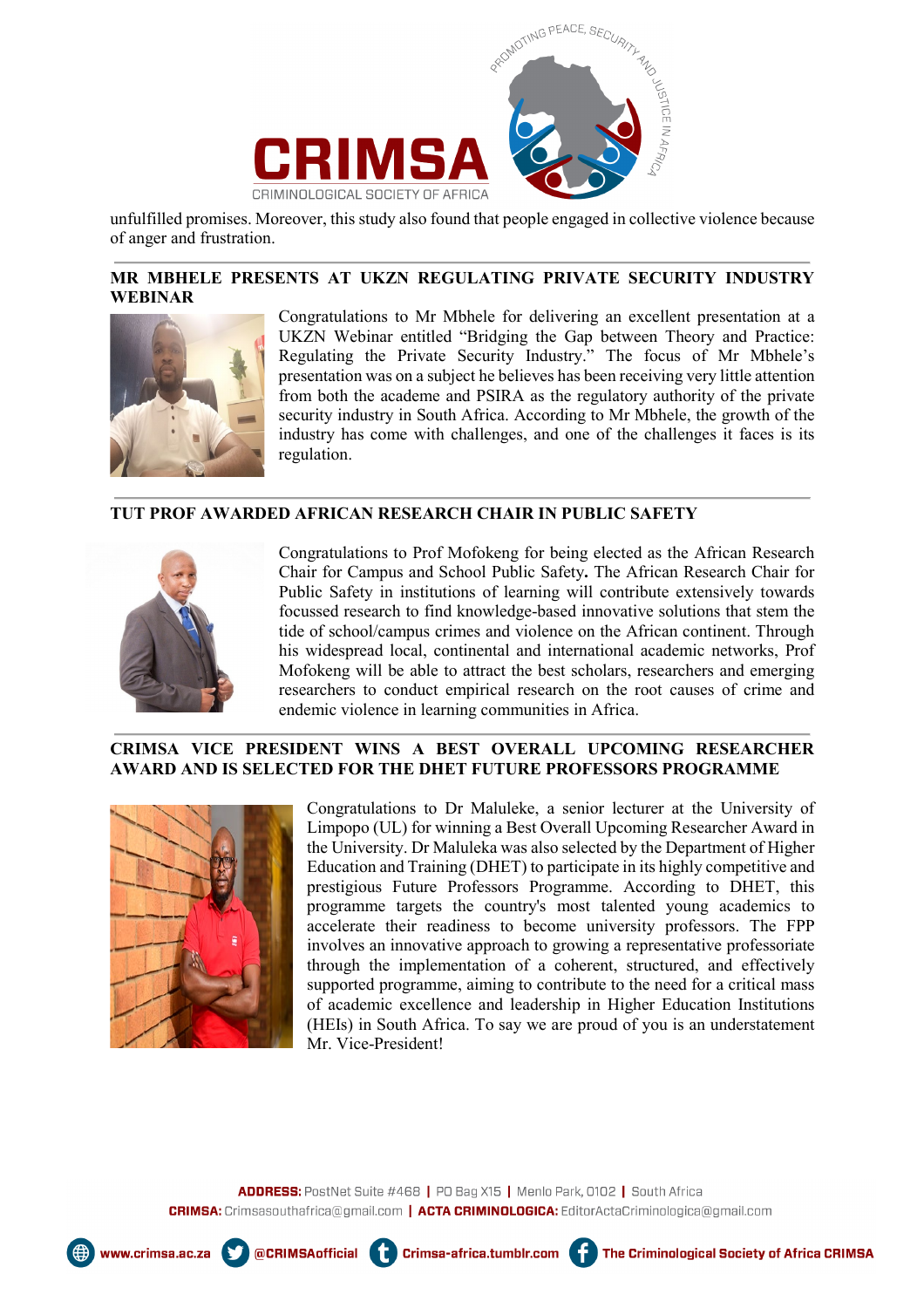

unfulfilled promises. Moreover, this study also found that people engaged in collective violence because of anger and frustration.

### **MR MBHELE PRESENTS AT UKZN REGULATING PRIVATE SECURITY INDUSTRY WEBINAR**



Congratulations to Mr Mbhele for delivering an excellent presentation at a UKZN Webinar entitled "Bridging the Gap between Theory and Practice: Regulating the Private Security Industry." The focus of Mr Mbhele's presentation was on a subject he believes has been receiving very little attention from both the academe and PSIRA as the regulatory authority of the private security industry in South Africa. According to Mr Mbhele, the growth of the industry has come with challenges, and one of the challenges it faces is its regulation.

#### **TUT PROF AWARDED AFRICAN RESEARCH CHAIR IN PUBLIC SAFETY**



Congratulations to Prof Mofokeng for being elected as the African Research Chair for Campus and School Public Safety**.** The African Research Chair for Public Safety in institutions of learning will contribute extensively towards focussed research to find knowledge-based innovative solutions that stem the tide of school/campus crimes and violence on the African continent. Through his widespread local, continental and international academic networks, Prof Mofokeng will be able to attract the best scholars, researchers and emerging researchers to conduct empirical research on the root causes of crime and endemic violence in learning communities in Africa.

#### **CRIMSA VICE PRESIDENT WINS A BEST OVERALL UPCOMING RESEARCHER AWARD AND IS SELECTED FOR THE DHET FUTURE PROFESSORS PROGRAMME**



Congratulations to Dr Maluleke, a senior lecturer at the University of Limpopo (UL) for winning a Best Overall Upcoming Researcher Award in the University. Dr Maluleka was also selected by the Department of Higher Education and Training (DHET) to participate in its highly competitive and prestigious Future Professors Programme. According to DHET, this programme targets the country's most talented young academics to accelerate their readiness to become university professors. The FPP involves an innovative approach to growing a representative professoriate through the implementation of a coherent, structured, and effectively supported programme, aiming to contribute to the need for a critical mass of academic excellence and leadership in Higher Education Institutions (HEIs) in South Africa. To say we are proud of you is an understatement Mr. Vice-President!





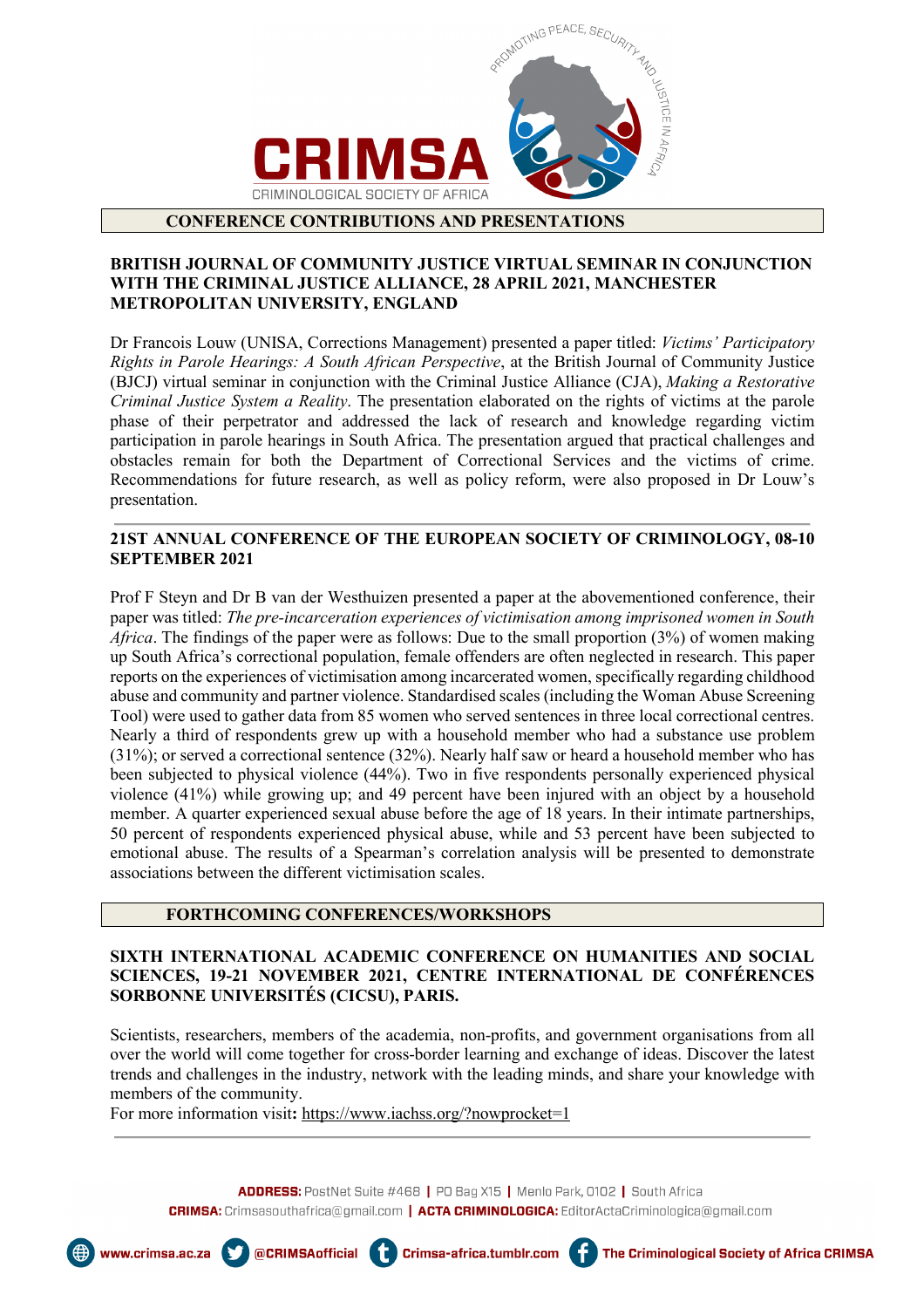

#### **CONFERENCE CONTRIBUTIONS AND PRESENTATIONS**

#### **BRITISH JOURNAL OF COMMUNITY JUSTICE VIRTUAL SEMINAR IN CONJUNCTION WITH THE CRIMINAL JUSTICE ALLIANCE, 28 APRIL 2021, MANCHESTER METROPOLITAN UNIVERSITY, ENGLAND**

Dr Francois Louw (UNISA, Corrections Management) presented a paper titled: *Victims' Participatory Rights in Parole Hearings: A South African Perspective*, at the British Journal of Community Justice (BJCJ) virtual seminar in conjunction with the Criminal Justice Alliance (CJA), *Making a Restorative Criminal Justice System a Reality*. The presentation elaborated on the rights of victims at the parole phase of their perpetrator and addressed the lack of research and knowledge regarding victim participation in parole hearings in South Africa. The presentation argued that practical challenges and obstacles remain for both the Department of Correctional Services and the victims of crime. Recommendations for future research, as well as policy reform, were also proposed in Dr Louw's presentation.

### **21ST ANNUAL CONFERENCE OF THE EUROPEAN SOCIETY OF CRIMINOLOGY, 08-10 SEPTEMBER 2021**

Prof F Steyn and Dr B van der Westhuizen presented a paper at the abovementioned conference, their paper was titled: *The pre-incarceration experiences of victimisation among imprisoned women in South Africa*. The findings of the paper were as follows: Due to the small proportion (3%) of women making up South Africa's correctional population, female offenders are often neglected in research. This paper reports on the experiences of victimisation among incarcerated women, specifically regarding childhood abuse and community and partner violence. Standardised scales (including the Woman Abuse Screening Tool) were used to gather data from 85 women who served sentences in three local correctional centres. Nearly a third of respondents grew up with a household member who had a substance use problem (31%); or served a correctional sentence (32%). Nearly half saw or heard a household member who has been subjected to physical violence (44%). Two in five respondents personally experienced physical violence (41%) while growing up; and 49 percent have been injured with an object by a household member. A quarter experienced sexual abuse before the age of 18 years. In their intimate partnerships, 50 percent of respondents experienced physical abuse, while and 53 percent have been subjected to emotional abuse. The results of a Spearman's correlation analysis will be presented to demonstrate associations between the different victimisation scales.

#### **FORTHCOMING CONFERENCES/WORKSHOPS**

### **SIXTH INTERNATIONAL ACADEMIC CONFERENCE ON HUMANITIES AND SOCIAL SCIENCES, 19-21 NOVEMBER 2021, CENTRE INTERNATIONAL DE CONFÉRENCES SORBONNE UNIVERSITÉS (CICSU), PARIS.**

Scientists, researchers, members of the academia, non-profits, and government organisations from all over the world will come together for cross-border learning and exchange of ideas. Discover the latest trends and challenges in the industry, network with the leading minds, and share your knowledge with members of the community.

For more information visit: [https://www.iachss.org/?nowprocket=1](about:blank)

ADDRESS: PostNet Suite #468 | PO Bag X15 | Menlo Park, 0102 | South Africa CRIMSA: Crimsasouthafrica@gmail.com | ACTA CRIMINOLOGICA: EditorActaCriminologica@gmail.com



www.crimsa.ac.za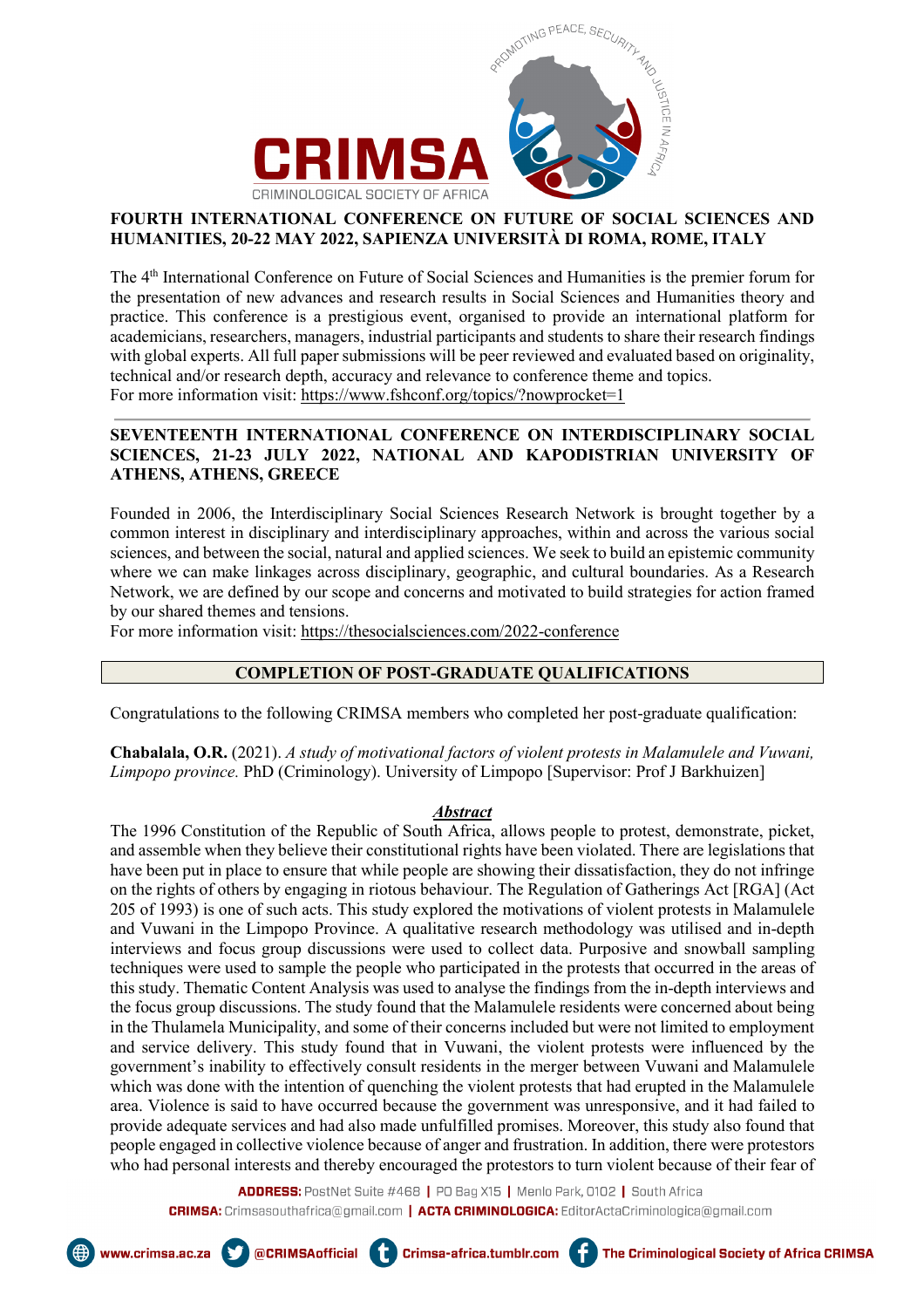

## **FOURTH INTERNATIONAL CONFERENCE ON FUTURE OF SOCIAL SCIENCES AND HUMANITIES, 20-22 MAY 2022, SAPIENZA UNIVERSITÀ DI ROMA, ROME, ITALY**

The 4<sup>th</sup> International Conference on Future of Social Sciences and Humanities is the premier forum for the presentation of new advances and research results in Social Sciences and Humanities theory and practice. This conference is a prestigious event, organised to provide an international platform for academicians, researchers, managers, industrial participants and students to share their research findings with global experts. All full paper submissions will be peer reviewed and evaluated based on originality, technical and/or research depth, accuracy and relevance to conference theme and topics. For more information visit[: https://www.fshconf.org/topics/?nowprocket=1](about:blank)

### **SEVENTEENTH INTERNATIONAL CONFERENCE ON INTERDISCIPLINARY SOCIAL SCIENCES, 21-23 JULY 2022, NATIONAL AND KAPODISTRIAN UNIVERSITY OF ATHENS, ATHENS, GREECE**

Founded in 2006, the Interdisciplinary Social Sciences Research Network is brought together by a common interest in disciplinary and interdisciplinary approaches, within and across the various social sciences, and between the social, natural and applied sciences. We seek to build an epistemic community where we can make linkages across disciplinary, geographic, and cultural boundaries. As a Research Network, we are defined by our scope and concerns and motivated to build strategies for action framed by our shared themes and tensions.

For more information visit[: https://thesocialsciences.com/2022-conference](about:blank)

## **COMPLETION OF POST-GRADUATE QUALIFICATIONS**

Congratulations to the following CRIMSA members who completed her post-graduate qualification:

**Chabalala, O.R.** (2021). *A study of motivational factors of violent protests in Malamulele and Vuwani, Limpopo province.* PhD (Criminology). University of Limpopo [Supervisor: Prof J Barkhuizen]

#### *Abstract*

The 1996 Constitution of the Republic of South Africa, allows people to protest, demonstrate, picket, and assemble when they believe their constitutional rights have been violated. There are legislations that have been put in place to ensure that while people are showing their dissatisfaction, they do not infringe on the rights of others by engaging in riotous behaviour. The Regulation of Gatherings Act [RGA] (Act 205 of 1993) is one of such acts. This study explored the motivations of violent protests in Malamulele and Vuwani in the Limpopo Province. A qualitative research methodology was utilised and in-depth interviews and focus group discussions were used to collect data. Purposive and snowball sampling techniques were used to sample the people who participated in the protests that occurred in the areas of this study. Thematic Content Analysis was used to analyse the findings from the in-depth interviews and the focus group discussions. The study found that the Malamulele residents were concerned about being in the Thulamela Municipality, and some of their concerns included but were not limited to employment and service delivery. This study found that in Vuwani, the violent protests were influenced by the government's inability to effectively consult residents in the merger between Vuwani and Malamulele which was done with the intention of quenching the violent protests that had erupted in the Malamulele area. Violence is said to have occurred because the government was unresponsive, and it had failed to provide adequate services and had also made unfulfilled promises. Moreover, this study also found that people engaged in collective violence because of anger and frustration. In addition, there were protestors who had personal interests and thereby encouraged the protestors to turn violent because of their fear of

**ADDRESS:** PostNet Suite #468 | PO Bag X15 | Menlo Park, 0102 | South Africa CRIMSA: Crimsasouthafrica@gmail.com | ACTA CRIMINOLOGICA: EditorActaCriminologica@gmail.com

@CRIMSAofficial

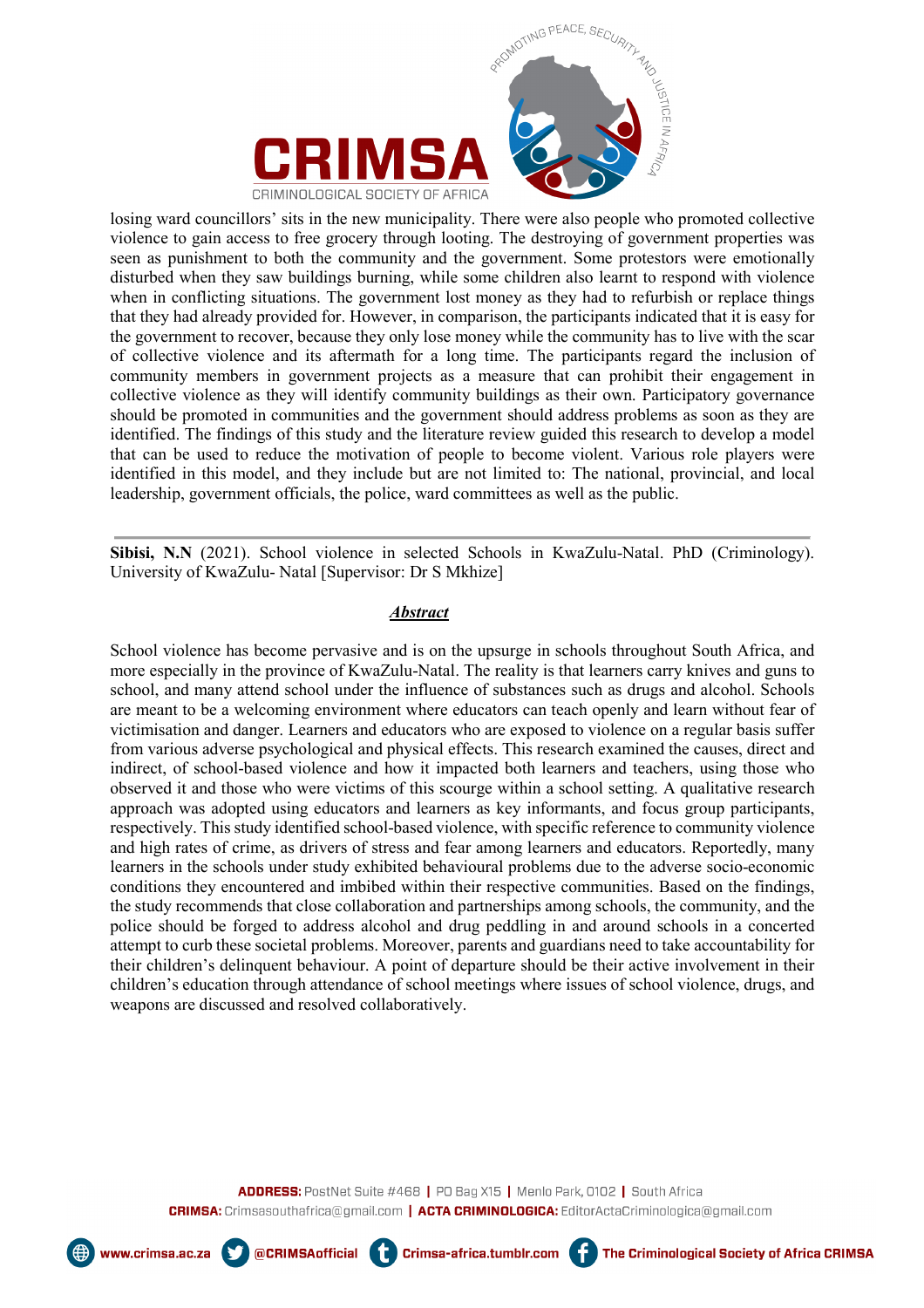



losing ward councillors' sits in the new municipality. There were also people who promoted collective violence to gain access to free grocery through looting. The destroying of government properties was seen as punishment to both the community and the government. Some protestors were emotionally disturbed when they saw buildings burning, while some children also learnt to respond with violence when in conflicting situations. The government lost money as they had to refurbish or replace things that they had already provided for. However, in comparison, the participants indicated that it is easy for the government to recover, because they only lose money while the community has to live with the scar of collective violence and its aftermath for a long time. The participants regard the inclusion of community members in government projects as a measure that can prohibit their engagement in collective violence as they will identify community buildings as their own. Participatory governance should be promoted in communities and the government should address problems as soon as they are identified. The findings of this study and the literature review guided this research to develop a model that can be used to reduce the motivation of people to become violent. Various role players were identified in this model, and they include but are not limited to: The national, provincial, and local leadership, government officials, the police, ward committees as well as the public.

**Sibisi, N.N** (2021). School violence in selected Schools in KwaZulu-Natal. PhD (Criminology). University of KwaZulu- Natal [Supervisor: Dr S Mkhize]

#### *Abstract*

School violence has become pervasive and is on the upsurge in schools throughout South Africa, and more especially in the province of KwaZulu-Natal. The reality is that learners carry knives and guns to school, and many attend school under the influence of substances such as drugs and alcohol. Schools are meant to be a welcoming environment where educators can teach openly and learn without fear of victimisation and danger. Learners and educators who are exposed to violence on a regular basis suffer from various adverse psychological and physical effects. This research examined the causes, direct and indirect, of school-based violence and how it impacted both learners and teachers, using those who observed it and those who were victims of this scourge within a school setting. A qualitative research approach was adopted using educators and learners as key informants, and focus group participants, respectively. This study identified school-based violence, with specific reference to community violence and high rates of crime, as drivers of stress and fear among learners and educators. Reportedly, many learners in the schools under study exhibited behavioural problems due to the adverse socio-economic conditions they encountered and imbibed within their respective communities. Based on the findings, the study recommends that close collaboration and partnerships among schools, the community, and the police should be forged to address alcohol and drug peddling in and around schools in a concerted attempt to curb these societal problems. Moreover, parents and guardians need to take accountability for their children's delinquent behaviour. A point of departure should be their active involvement in their children's education through attendance of school meetings where issues of school violence, drugs, and weapons are discussed and resolved collaboratively.

ADDRESS: PostNet Suite #468 | PO Bag X15 | Menlo Park, 0102 | South Africa CRIMSA: Crimsasouthafrica@gmail.com | ACTA CRIMINOLOGICA: EditorActaCriminologica@gmail.com

Crimsa-africa.tumblr.com

@CRIMSAofficial **4** 



www.crimsa.ac.za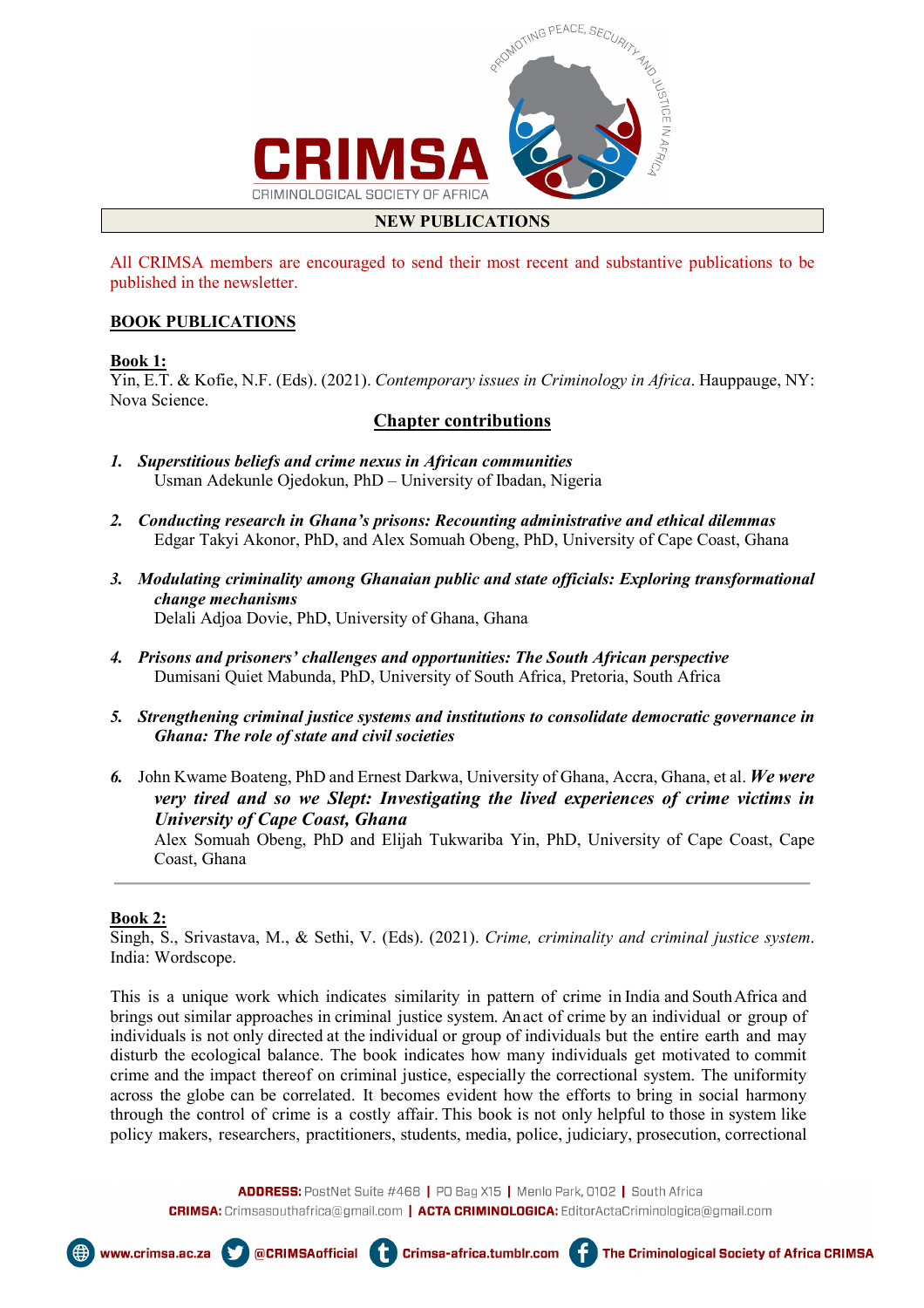

## **NEW PUBLICATIONS**

All CRIMSA members are encouraged to send their most recent and substantive publications to be published in the newsletter.

#### **BOOK PUBLICATIONS**

#### **Book 1:**

Yin, E.T. & Kofie, N.F. (Eds). (2021). *Contemporary issues in Criminology in Africa*. Hauppauge, NY: Nova Science.

## **Chapter contributions**

- *1. Superstitious beliefs and crime nexus in African communities*  Usman Adekunle Ojedokun, PhD – University of Ibadan, Nigeria
- *2. Conducting research in Ghana's prisons: Recounting administrative and ethical dilemmas*  Edgar Takyi Akonor, PhD, and Alex Somuah Obeng, PhD, University of Cape Coast, Ghana
- *3. Modulating criminality among Ghanaian public and state officials: Exploring transformational change mechanisms*  Delali Adjoa Dovie, PhD, University of Ghana, Ghana
- *4. Prisons and prisoners' challenges and opportunities: The South African perspective*  Dumisani Quiet Mabunda, PhD, University of South Africa, Pretoria, South Africa
- *5. Strengthening criminal justice systems and institutions to consolidate democratic governance in Ghana: The role of state and civil societies*
- *6.* John Kwame Boateng, PhD and Ernest Darkwa, University of Ghana, Accra, Ghana, et al. *We were very tired and so we Slept: Investigating the lived experiences of crime victims in University of Cape Coast, Ghana*

 Alex Somuah Obeng, PhD and Elijah Tukwariba Yin, PhD, University of Cape Coast, Cape Coast, Ghana

#### **Book 2:**

Singh, S., Srivastava, M., & Sethi, V. (Eds). (2021). *Crime, criminality and criminal justice system*. India: Wordscope.

This is a unique work which indicates similarity in pattern of crime in India and SouthAfrica and brings out similar approaches in criminal justice system. Anact of crime by an individual or group of individuals is not only directed at the individual or group of individuals but the entire earth and may disturb the ecological balance. The book indicates how many individuals get motivated to commit crime and the impact thereof on criminal justice, especially the correctional system. The uniformity across the globe can be correlated. It becomes evident how the efforts to bring in social harmony through the control of crime is a costly affair. This book is not only helpful to those in system like policy makers, researchers, practitioners, students, media, police, judiciary, prosecution, correctional

ADDRESS: PostNet Suite #468 | PO Bag X15 | Menlo Park, 0102 | South Africa CRIMSA: Crimsasouthafrica@gmail.com | ACTA CRIMINOLOGICA: EditorActaCriminologica@gmail.com

@CRIMSAofficial

ŧ

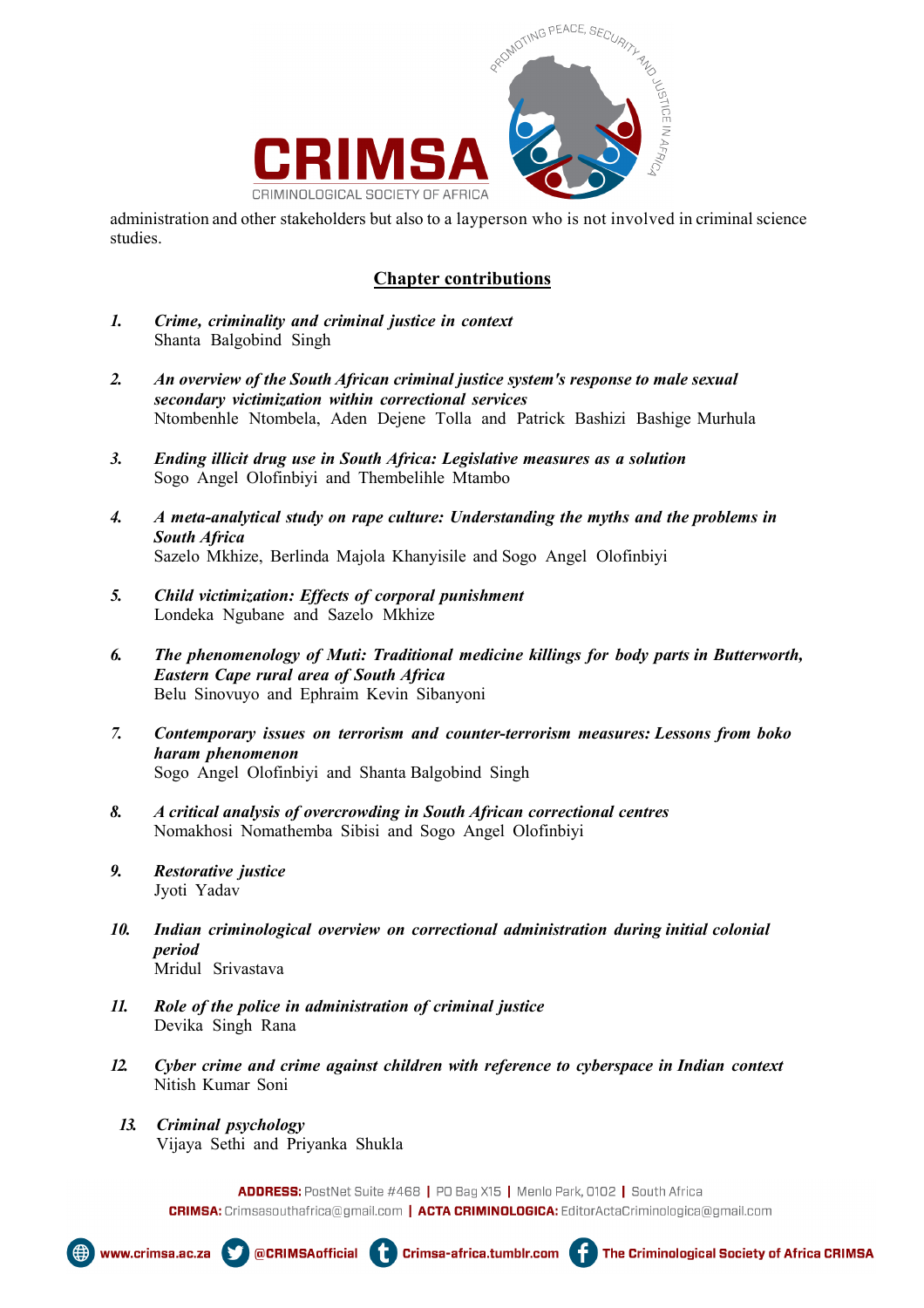

administration and other stakeholders but also to a layperson who is not involved in criminal science studies.

## **Chapter contributions**

- *1. Crime, criminality and criminal justice in context* Shanta Balgobind Singh
- *2. An overview of the South African criminal justice system's response to male sexual secondary victimization within correctional services* Ntombenhle Ntombela, Aden Dejene Tolla and Patrick Bashizi Bashige Murhula
- *3. Ending illicit drug use in South Africa: Legislative measures as a solution* Sogo Angel Olofinbiyi and Thembelihle Mtambo
- *4. A meta-analytical study on rape culture: Understanding the myths and the problems in South Africa* Sazelo Mkhize, Berlinda Majola Khanyisile and Sogo Angel Olofinbiyi
- *5. Child victimization: Effects of corporal punishment* Londeka Ngubane and Sazelo Mkhize
- *6. The phenomenology of Muti: Traditional medicine killings for body parts in Butterworth, Eastern Cape rural area of South Africa* Belu Sinovuyo and Ephraim Kevin Sibanyoni
- *7. Contemporary issues on terrorism and counter-terrorism measures: Lessons from boko haram phenomenon* Sogo Angel Olofinbiyi and Shanta Balgobind Singh
- *8. A critical analysis of overcrowding in South African correctional centres* Nomakhosi Nomathemba Sibisi and Sogo Angel Olofinbiyi
- *9. Restorative justice* Jyoti Yadav
- *10. Indian criminological overview on correctional administration during initial colonial period* Mridul Srivastava
- *11. Role of the police in administration of criminal justice* Devika Singh Rana
- *12. Cyber crime and crime against children with reference to cyberspace in Indian context* Nitish Kumar Soni
- *13. Criminal psychology* Vijaya Sethi and Priyanka Shukla

ADDRESS: PostNet Suite #468 | PO Bag X15 | Menlo Park, 0102 | South Africa CRIMSA: Crimsasouthafrica@gmail.com | ACTA CRIMINOLOGICA: EditorActaCriminologica@gmail.com







ŧ

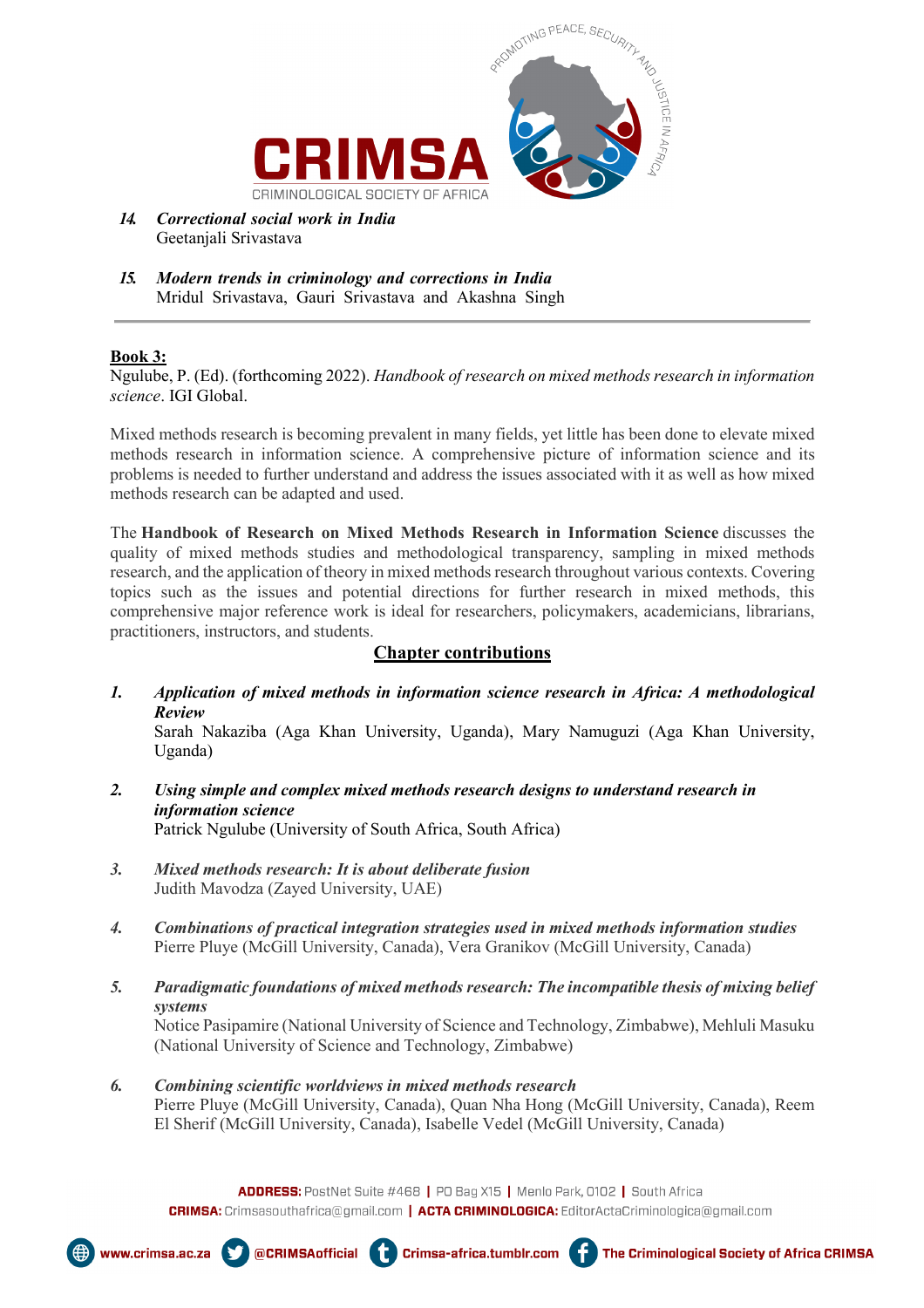

- *14. Correctional social work in India* Geetanjali Srivastava
- *15. Modern trends in criminology and corrections in India* Mridul Srivastava, Gauri Srivastava and Akashna Singh

#### **Book 3:**

Ngulube, P. (Ed). (forthcoming 2022). *Handbook of research on mixed methods research in information science*. IGI Global.

Mixed methods research is becoming prevalent in many fields, yet little has been done to elevate mixed methods research in information science. A comprehensive picture of information science and its problems is needed to further understand and address the issues associated with it as well as how mixed methods research can be adapted and used.

The **Handbook of Research on Mixed Methods Research in Information Science** discusses the quality of mixed methods studies and methodological transparency, sampling in mixed methods research, and the application of theory in mixed methods research throughout various contexts. Covering topics such as the issues and potential directions for further research in mixed methods, this comprehensive major reference work is ideal for researchers, policymakers, academicians, librarians, practitioners, instructors, and students.

### **Chapter contributions**

*1. Application of mixed methods in information science research in Africa: A methodological Review*

Sarah Nakaziba (Aga Khan University, Uganda), Mary Namuguzi (Aga Khan University, Uganda)

- *2. [Using simple and complex mixed methods research designs to understand research in](about:blank)  [information science](about:blank)* Patrick Ngulube (University of South Africa, South Africa)
- *3. Mixed methods research: It is about deliberate fusion* Judith Mavodza (Zayed University, UAE)
- *4. Combinations of practical integration strategies used in mixed methods information studies* Pierre Pluye (McGill University, Canada), Vera Granikov (McGill University, Canada)
- *5. Paradigmatic foundations of mixed methods research: The incompatible thesis of mixing belief systems* Notice Pasipamire (National University of Science and Technology, Zimbabwe), Mehluli Masuku (National University of Science and Technology, Zimbabwe)
- *6. Combining scientific worldviews in mixed methods research* Pierre Pluye (McGill University, Canada), Quan Nha Hong (McGill University, Canada), Reem El Sherif (McGill University, Canada), Isabelle Vedel (McGill University, Canada)







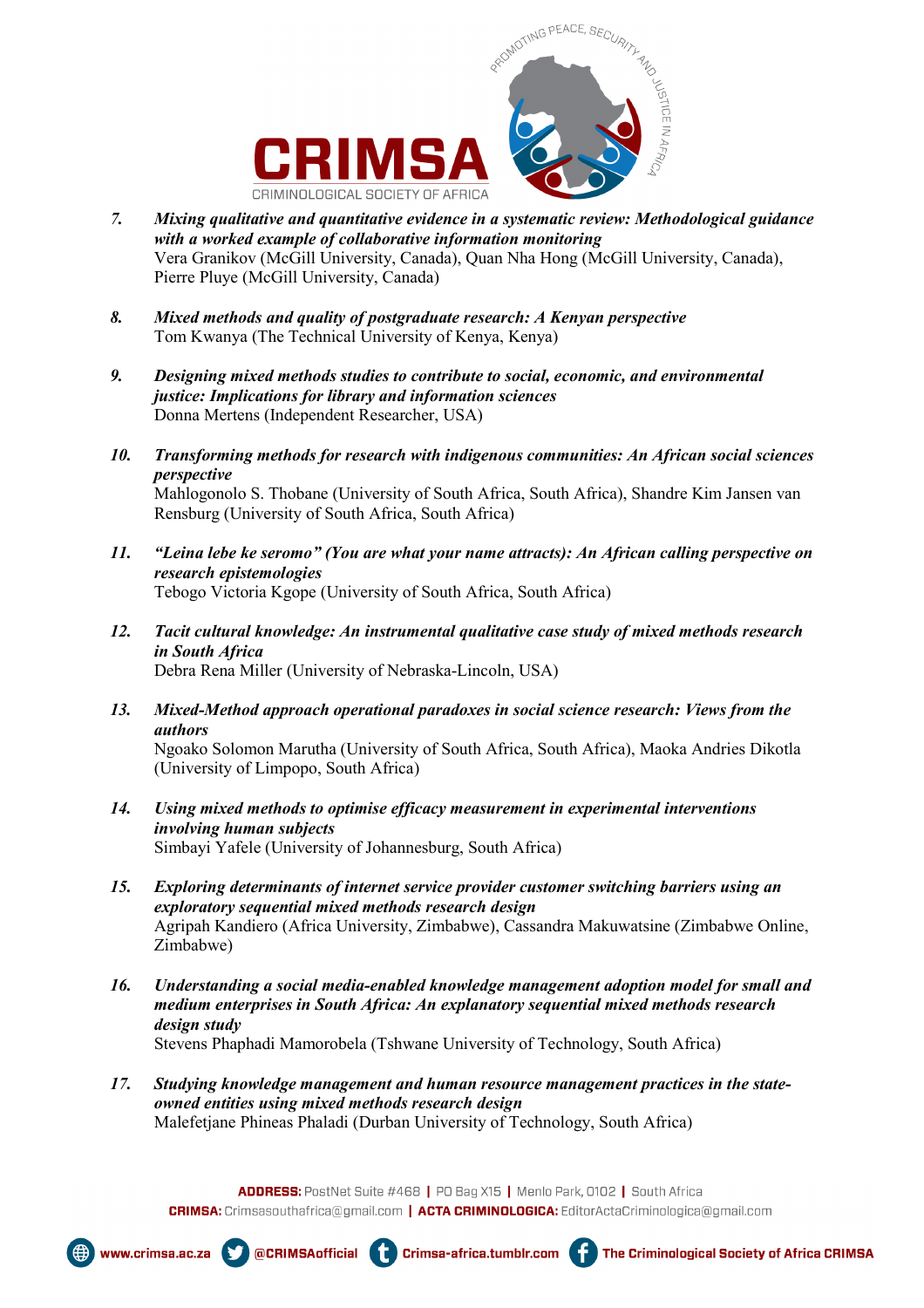



- *7. [Mixing qualitative and quantitative evidence in a systematic review: Methodological guidance](about:blank)  [with a worked example of collaborative information monitoring](about:blank)* Vera Granikov (McGill University, Canada), Quan Nha Hong (McGill University, Canada), Pierre Pluye (McGill University, Canada)
- *8. [Mixed methods and quality of postgraduate research: A Kenyan perspective](about:blank)* Tom Kwanya (The Technical University of Kenya, Kenya)
- *9. [Designing mixed methods studies to contribute to social, economic, and environmental](about:blank)  [justice: Implications for library and information sciences](about:blank)* Donna Mertens (Independent Researcher, USA)
- *10. [Transforming methods for research with indigenous communities: An African social sciences](about:blank)  [perspective](about:blank)* Mahlogonolo S. Thobane (University of South Africa, South Africa), Shandre Kim Jansen van Rensburg (University of South Africa, South Africa)
- *11. ["Leina lebe ke seromo" \(You are what your name attracts\): An African calling perspective on](about:blank)  [research epistemologies](about:blank)* Tebogo Victoria Kgope (University of South Africa, South Africa)
- *12. [Tacit cultural knowledge: An instrumental qualitative case study of mixed methods research](about:blank)  [in South Africa](about:blank)* Debra Rena Miller (University of Nebraska-Lincoln, USA)
- *13. [Mixed-Method approach operational paradoxes in social science research: Views from the](about:blank)  [authors](about:blank)* Ngoako Solomon Marutha (University of South Africa, South Africa), Maoka Andries Dikotla (University of Limpopo, South Africa)
- *14. [Using mixed methods to optimise efficacy measurement in experimental interventions](about:blank)  [involving human subjects](about:blank)* Simbayi Yafele (University of Johannesburg, South Africa)
- *15. [Exploring determinants of internet service provider customer switching barriers using an](about:blank)  [exploratory sequential mixed methods research design](about:blank)* Agripah Kandiero (Africa University, Zimbabwe), Cassandra Makuwatsine (Zimbabwe Online, Zimbabwe)
- *16. [Understanding a social media-enabled knowledge management adoption model for small and](about:blank)  [medium enterprises in South Africa: An explanatory sequential mixed methods research](about:blank)  [design study](about:blank)* Stevens Phaphadi Mamorobela (Tshwane University of Technology, South Africa)
- *17. [Studying knowledge management and human resource management practices in the state](about:blank)[owned entities using mixed methods research design](about:blank)* Malefetjane Phineas Phaladi (Durban University of Technology, South Africa)

ADDRESS: PostNet Suite #468 | PO Bag X15 | Menlo Park, 0102 | South Africa CRIMSA: Crimsasouthafrica@gmail.com | ACTA CRIMINOLOGICA: EditorActaCriminologica@gmail.com









The Criminological Society of Africa CRIMSA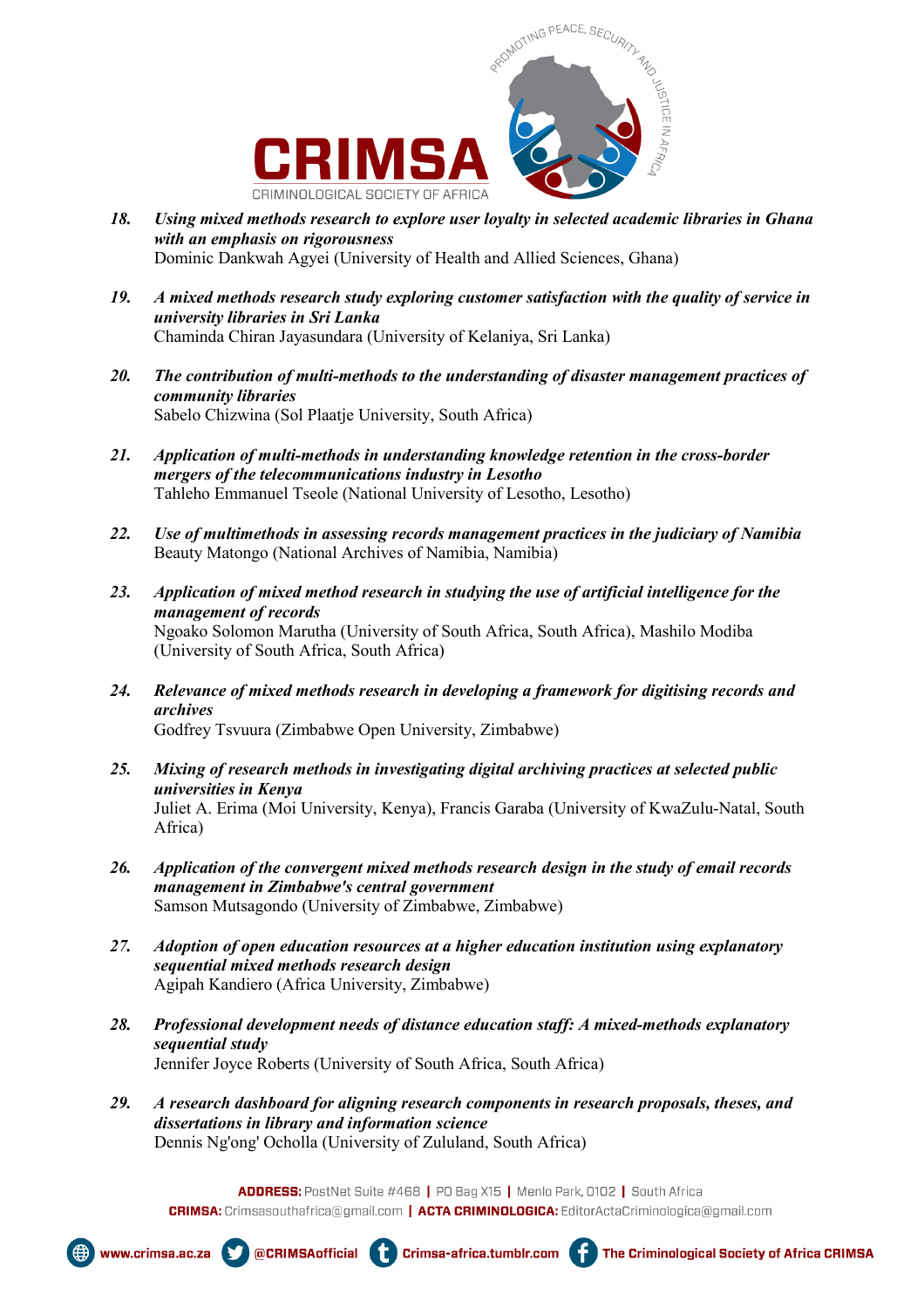



- *18. [Using mixed methods research to explore user loyalty in selected academic libraries in Ghana](about:blank)  [with an emphasis on rigorousness](about:blank)* Dominic Dankwah Agyei (University of Health and Allied Sciences, Ghana)
- *19. [A mixed methods research study exploring customer satisfaction with the quality of service in](about:blank)  [university libraries in Sri Lanka](about:blank)* Chaminda Chiran Jayasundara (University of Kelaniya, Sri Lanka)
- *20. [The contribution of multi-methods to the understanding of disaster management practices of](about:blank)  [community libraries](about:blank)* Sabelo Chizwina (Sol Plaatje University, South Africa)
- *21. [Application of multi-methods in understanding knowledge retention in the cross-border](about:blank)  [mergers of the telecommunications industry in Lesotho](about:blank)* Tahleho Emmanuel Tseole (National University of Lesotho, Lesotho)
- *22. [Use of multimethods in assessing records management practices in the judiciary of Namibia](about:blank)* Beauty Matongo (National Archives of Namibia, Namibia)
- *23. [Application of mixed method research in studying the use of artificial intelligence for the](about:blank)  [management of records](about:blank)* Ngoako Solomon Marutha (University of South Africa, South Africa), Mashilo Modiba (University of South Africa, South Africa)
- *24. [Relevance of mixed methods research in developing a framework for digitising records and](about:blank)  [archives](about:blank)* Godfrey Tsvuura (Zimbabwe Open University, Zimbabwe)
- *25. [Mixing of research methods in investigating digital archiving practices at selected public](about:blank)  [universities in Kenya](about:blank)* Juliet A. Erima (Moi University, Kenya), Francis Garaba (University of KwaZulu-Natal, South Africa)
- *26. [Application of the convergent mixed methods research design in the study of email records](about:blank)  [management in Zimbabwe's central government](about:blank)* Samson Mutsagondo (University of Zimbabwe, Zimbabwe)
- *27. [Adoption of open education resources at a higher education institution using explanatory](about:blank)  [sequential mixed methods research design](about:blank)* Agipah Kandiero (Africa University, Zimbabwe)
- *28. [Professional development needs of distance education staff: A mixed-methods explanatory](about:blank)  [sequential study](about:blank)* Jennifer Joyce Roberts (University of South Africa, South Africa)
- *29. [A research dashboard for aligning research components in research proposals, theses, and](about:blank)  [dissertations in library and information science](about:blank)* Dennis Ng'ong' Ocholla (University of Zululand, South Africa)







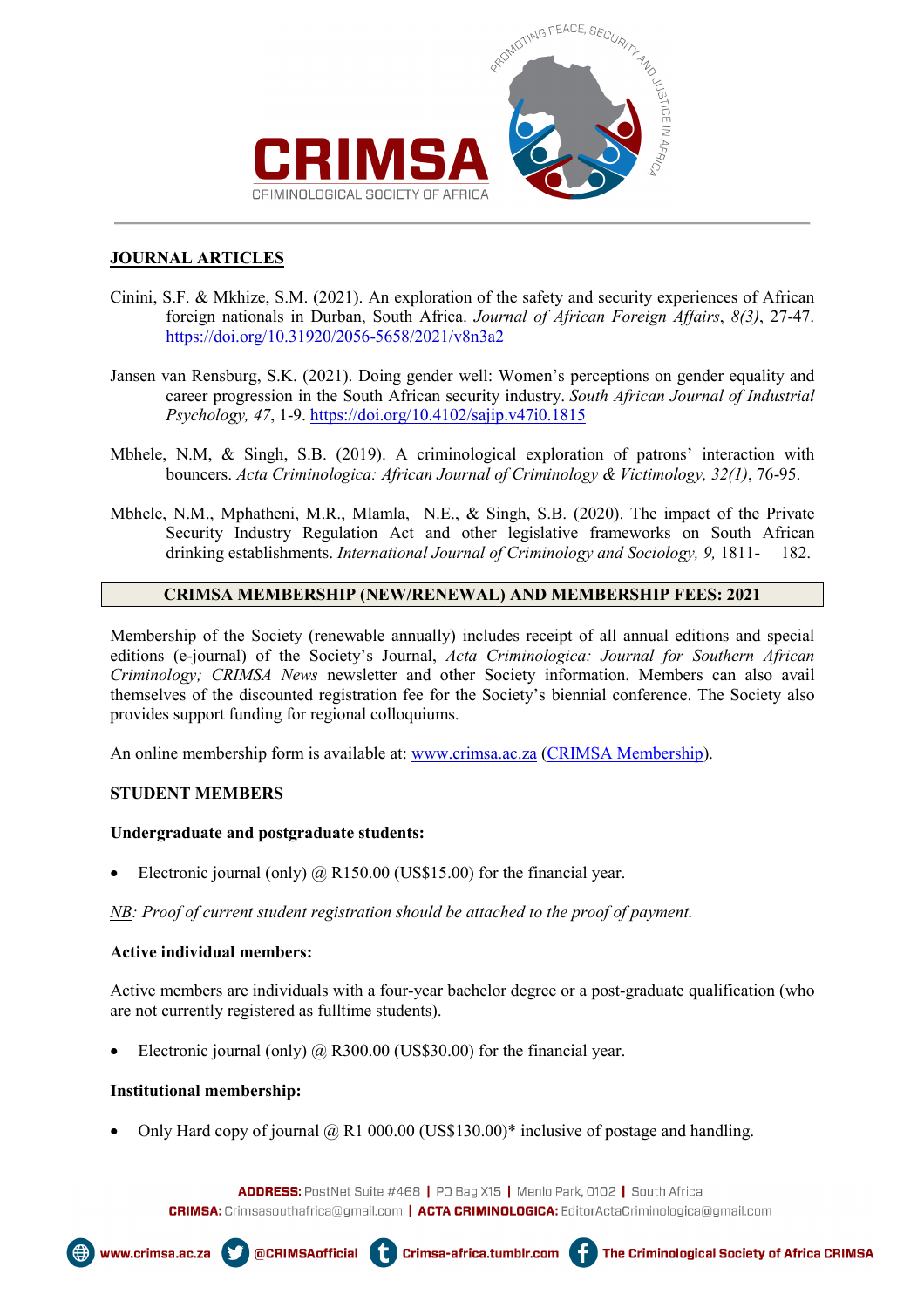

## **JOURNAL ARTICLES**

- Cinini, S.F. & Mkhize, S.M. (2021). An exploration of the safety and security experiences of African foreign nationals in Durban, South Africa. *Journal of African Foreign Affairs*, *8(3)*, 27-47. <https://doi.org/10.31920/2056-5658/2021/v8n3a2>
- Jansen van Rensburg, S.K. (2021). Doing gender well: Women's perceptions on gender equality and career progression in the South African security industry. *South African Journal of Industrial Psychology, 47*, 1-9. <https://doi.org/10.4102/sajip.v47i0.1815>
- Mbhele, N.M, & Singh, S.B. (2019). A criminological exploration of patrons' interaction with bouncers. *Acta Criminologica: African Journal of Criminology & Victimology, 32(1)*, 76-95.
- Mbhele, N.M., Mphatheni, M.R., Mlamla, N.E., & Singh, S.B. (2020). The impact of the Private Security Industry Regulation Act and other legislative frameworks on South African drinking establishments. *International Journal of Criminology and Sociology, 9,* 1811- 182.

## **CRIMSA MEMBERSHIP (NEW/RENEWAL) AND MEMBERSHIP FEES: 2021**

Membership of the Society (renewable annually) includes receipt of all annual editions and special editions (e-journal) of the Society's Journal, *Acta Criminologica: Journal for Southern African Criminology; CRIMSA News* newsletter and other Society information. Members can also avail themselves of the discounted registration fee for the Society's biennial conference. The Society also provides support funding for regional colloquiums.

An online membership form is available at: [www.crimsa.ac.za](http://www.crimsa.ac.za/) [\(CRIMSA Membership\)](about:blank).

## **STUDENT MEMBERS**

#### **Undergraduate and postgraduate students:**

Electronic journal (only)  $\omega$ , R150.00 (US\$15.00) for the financial year.

*NB: Proof of current student registration should be attached to the proof of payment.* 

## **Active individual members:**

Active members are individuals with a four-year bachelor degree or a post-graduate qualification (who are not currently registered as fulltime students).

Electronic journal (only)  $\omega$  R300.00 (US\$30.00) for the financial year.

ŧ

#### **Institutional membership:**

Only Hard copy of journal  $\omega$  R1 000.00 (US\$130.00)\* inclusive of postage and handling.